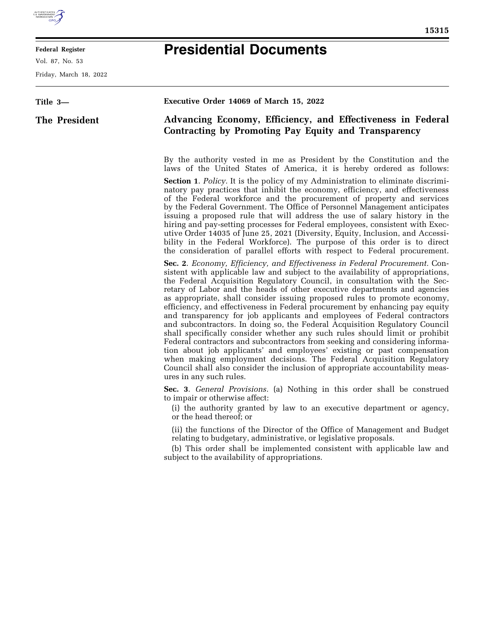

E

## **Federal Register**

Vol. 87, No. 53

Friday, March 18, 2022

## **Presidential Documents**

| Title 3—      | Executive Order 14069 of March 15, 2022                                                                                                                                                                                                                                                                                                                                                                                                                                                                                                                                                                                                                                                                                                                                                                                                                                                                                                                                                                                                                                              |
|---------------|--------------------------------------------------------------------------------------------------------------------------------------------------------------------------------------------------------------------------------------------------------------------------------------------------------------------------------------------------------------------------------------------------------------------------------------------------------------------------------------------------------------------------------------------------------------------------------------------------------------------------------------------------------------------------------------------------------------------------------------------------------------------------------------------------------------------------------------------------------------------------------------------------------------------------------------------------------------------------------------------------------------------------------------------------------------------------------------|
| The President | Advancing Economy, Efficiency, and Effectiveness in Federal<br>Contracting by Promoting Pay Equity and Transparency                                                                                                                                                                                                                                                                                                                                                                                                                                                                                                                                                                                                                                                                                                                                                                                                                                                                                                                                                                  |
|               | By the authority vested in me as President by the Constitution and the<br>laws of the United States of America, it is hereby ordered as follows:                                                                                                                                                                                                                                                                                                                                                                                                                                                                                                                                                                                                                                                                                                                                                                                                                                                                                                                                     |
|               | <b>Section 1.</b> Policy. It is the policy of my Administration to eliminate discrimi-<br>natory pay practices that inhibit the economy, efficiency, and effectiveness<br>of the Federal workforce and the procurement of property and services<br>by the Federal Government. The Office of Personnel Management anticipates<br>issuing a proposed rule that will address the use of salary history in the<br>hiring and pay-setting processes for Federal employees, consistent with Exec-<br>utive Order 14035 of June 25, 2021 (Diversity, Equity, Inclusion, and Accessi-<br>bility in the Federal Workforce). The purpose of this order is to direct<br>the consideration of parallel efforts with respect to Federal procurement.                                                                                                                                                                                                                                                                                                                                              |
|               | <b>Sec. 2.</b> Economy, Efficiency, and Effectiveness in Federal Procurement. Con-<br>sistent with applicable law and subject to the availability of appropriations,<br>the Federal Acquisition Regulatory Council, in consultation with the Sec-<br>retary of Labor and the heads of other executive departments and agencies<br>as appropriate, shall consider issuing proposed rules to promote economy,<br>efficiency, and effectiveness in Federal procurement by enhancing pay equity<br>and transparency for job applicants and employees of Federal contractors<br>and subcontractors. In doing so, the Federal Acquisition Regulatory Council<br>shall specifically consider whether any such rules should limit or prohibit<br>Federal contractors and subcontractors from seeking and considering informa-<br>tion about job applicants' and employees' existing or past compensation<br>when making employment decisions. The Federal Acquisition Regulatory<br>Council shall also consider the inclusion of appropriate accountability meas-<br>ures in any such rules. |
|               | Sec. 3. General Provisions. (a) Nothing in this order shall be construed<br>to impair or otherwise affect:<br>(i) the authority granted by law to an executive department or agency,<br>or the head thereof; or                                                                                                                                                                                                                                                                                                                                                                                                                                                                                                                                                                                                                                                                                                                                                                                                                                                                      |
|               | (ii) the functions of the Director of the Office of Management and Budget<br>relating to budgetary, administrative, or legislative proposals.<br>(b) This order shall be implemented consistent with applicable law and<br>subject to the availability of appropriations.                                                                                                                                                                                                                                                                                                                                                                                                                                                                                                                                                                                                                                                                                                                                                                                                            |
|               |                                                                                                                                                                                                                                                                                                                                                                                                                                                                                                                                                                                                                                                                                                                                                                                                                                                                                                                                                                                                                                                                                      |
|               |                                                                                                                                                                                                                                                                                                                                                                                                                                                                                                                                                                                                                                                                                                                                                                                                                                                                                                                                                                                                                                                                                      |
|               |                                                                                                                                                                                                                                                                                                                                                                                                                                                                                                                                                                                                                                                                                                                                                                                                                                                                                                                                                                                                                                                                                      |